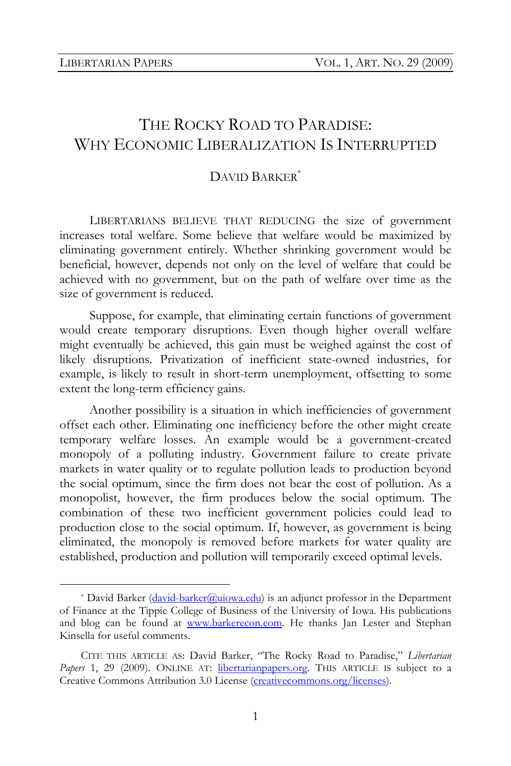# THE ROCKY ROAD TO PARADISE: WHY ECONOMIC LIBERALIZATION IS INTERRUPTED

## DAVID BARKER\*

LIBERTARIANS BELIEVE THAT REDUCING the size of government increases total welfare. Some believe that welfare would be maximized by eliminating government entirely. Whether shrinking government would be beneficial, however, depends not only on the level of welfare that could be achieved with no government, but on the path of welfare over time as the size of government is reduced.

Suppose, for example, that eliminating certain functions of government would create temporary disruptions. Even though higher overall welfare might eventually be achieved, this gain must be weighed against the cost of likely disruptions. Privatization of inefficient state-owned industries, for example, is likely to result in short-term unemployment, offsetting to some extent the long-term efficiency gains.

Another possibility is a situation in which inefficiencies of government offset each other. Eliminating one inefficiency before the other might create temporary welfare losses. An example would be a government-created monopoly of a polluting industry. Government failure to create private markets in water quality or to regulate pollution leads to production beyond the social optimum, since the firm does not bear the cost of pollution. As a monopolist, however, the firm produces below the social optimum. The combination of these two inefficient government policies could lead to production close to the social optimum. If, however, as government is being eliminated, the monopoly is removed before markets for water quality are established, production and pollution will temporarily exceed optimal levels.

<sup>\*</sup> David Barker ( $\frac{d \text{avid-barker}(\partial \text{uiowa.edu})}{dt}$  is an adjunct professor in the Department of Finance at the Tippie College of Business of the University of Iowa. His publications and blog can be found at www.barkerecon.com. He thanks Jan Lester and Stephan Kinsella for useful comments.

CITE THIS ARTICLE AS: David Barker, "The Rocky Road to Paradise," *Libertarian*  Papers 1, 29 (2009). ONLINE AT: libertarianpapers.org. THIS ARTICLE IS subject to a Creative Commons Attribution 3.0 License (creativecommons.org/licenses).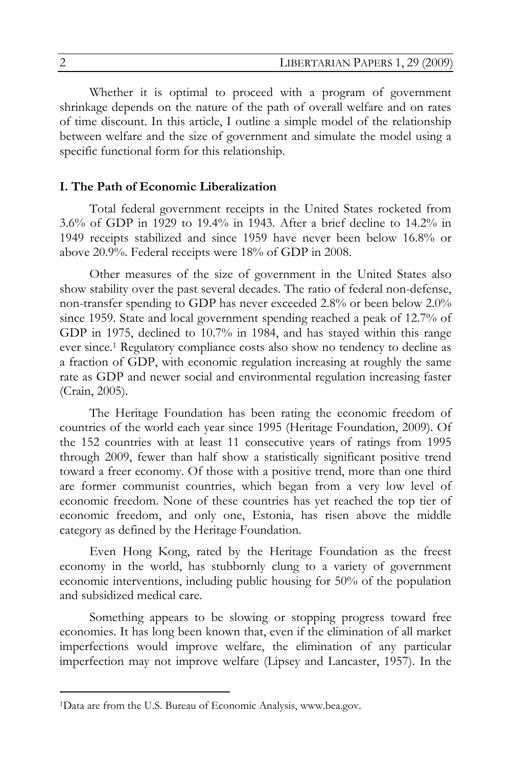Whether it is optimal to proceed with a program of government shrinkage depends on the nature of the path of overall welfare and on rates of time discount. In this article, I outline a simple model of the relationship between welfare and the size of government and simulate the model using a specific functional form for this relationship.

### **I. The Path of Economic Liberalization**

Total federal government receipts in the United States rocketed from 3.6% of GDP in 1929 to 19.4% in 1943. After a brief decline to 14.2% in 1949 receipts stabilized and since 1959 have never been below 16.8% or above 20.9%. Federal receipts were 18% of GDP in 2008.

Other measures of the size of government in the United States also show stability over the past several decades. The ratio of federal non-defense, non-transfer spending to GDP has never exceeded 2.8% or been below 2.0% since 1959. State and local government spending reached a peak of 12.7% of GDP in 1975, declined to 10.7% in 1984, and has stayed within this range ever since.1 Regulatory compliance costs also show no tendency to decline as a fraction of GDP, with economic regulation increasing at roughly the same rate as GDP and newer social and environmental regulation increasing faster (Crain, 2005).

The Heritage Foundation has been rating the economic freedom of countries of the world each year since 1995 (Heritage Foundation, 2009). Of the 152 countries with at least 11 consecutive years of ratings from 1995 through 2009, fewer than half show a statistically significant positive trend toward a freer economy. Of those with a positive trend, more than one third are former communist countries, which began from a very low level of economic freedom. None of these countries has yet reached the top tier of economic freedom, and only one, Estonia, has risen above the middle category as defined by the Heritage Foundation.

Even Hong Kong, rated by the Heritage Foundation as the freest economy in the world, has stubbornly clung to a variety of government economic interventions, including public housing for 50% of the population and subsidized medical care.

Something appears to be slowing or stopping progress toward free economies. It has long been known that, even if the elimination of all market imperfections would improve welfare, the elimination of any particular imperfection may not improve welfare (Lipsey and Lancaster, 1957). In the

 $\overline{a}$ 

<sup>1</sup>Data are from the U.S. Bureau of Economic Analysis, www.bea.gov.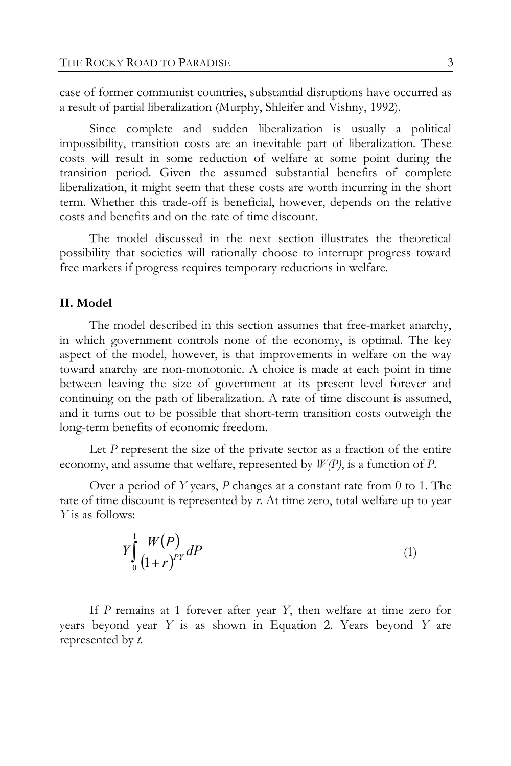case of former communist countries, substantial disruptions have occurred as a result of partial liberalization (Murphy, Shleifer and Vishny, 1992).

Since complete and sudden liberalization is usually a political impossibility, transition costs are an inevitable part of liberalization. These costs will result in some reduction of welfare at some point during the transition period. Given the assumed substantial benefits of complete liberalization, it might seem that these costs are worth incurring in the short term. Whether this trade-off is beneficial, however, depends on the relative costs and benefits and on the rate of time discount.

The model discussed in the next section illustrates the theoretical possibility that societies will rationally choose to interrupt progress toward free markets if progress requires temporary reductions in welfare.

## **II. Model**

The model described in this section assumes that free-market anarchy, in which government controls none of the economy, is optimal. The key aspect of the model, however, is that improvements in welfare on the way toward anarchy are non-monotonic. A choice is made at each point in time between leaving the size of government at its present level forever and continuing on the path of liberalization. A rate of time discount is assumed, and it turns out to be possible that short-term transition costs outweigh the long-term benefits of economic freedom.

Let *P* represent the size of the private sector as a fraction of the entire economy, and assume that welfare, represented by *W(P)*, is a function of *P*.

Over a period of *Y* years, *P* changes at a constant rate from 0 to 1. The rate of time discount is represented by *r*. At time zero, total welfare up to year *Y* is as follows:

$$
Y\int_{0}^{1} \frac{W(P)}{\left(1+r\right)^{PY}} dP\tag{1}
$$

If *P* remains at 1 forever after year *Y*, then welfare at time zero for years beyond year *Y* is as shown in Equation 2. Years beyond *Y* are represented by *t*.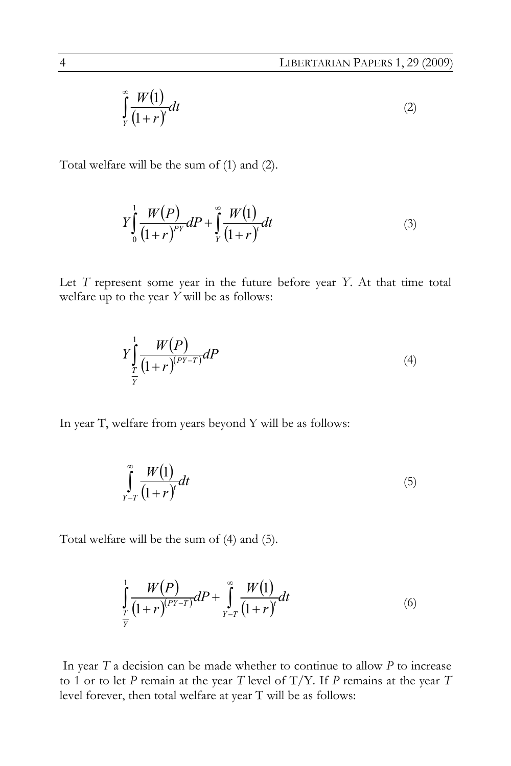$$
\int_{Y}^{\infty} \frac{W(1)}{(1+r)^{t}} dt
$$
 (2)

Total welfare will be the sum of (1) and (2).

$$
Y\int_{0}^{1} \frac{W(P)}{(1+r)^{p}Y}dP + \int_{Y}^{\infty} \frac{W(1)}{(1+r)^{r}}dt
$$
\n(3)

Let *T* represent some year in the future before year *Y*. At that time total welfare up to the year *Y* will be as follows:

$$
Y\int_{\frac{T}{Y}}^{1} \frac{W(P)}{(1+r)^{(PY-T)}} dP \tag{4}
$$

In year T, welfare from years beyond Y will be as follows:

$$
\int_{Y-T}^{\infty} \frac{W(1)}{(1+r)^t} dt
$$
\n(5)

Total welfare will be the sum of (4) and (5).

$$
\int_{\frac{T}{Y}}^1 \frac{W(P)}{(1+r)^{(PY-T)}} dP + \int_{Y-T}^{\infty} \frac{W(1)}{(1+r)^{t}} dt
$$
\n(6)

 In year *T* a decision can be made whether to continue to allow *P* to increase to 1 or to let *P* remain at the year *T* level of T/Y. If *P* remains at the year *T* level forever, then total welfare at year T will be as follows: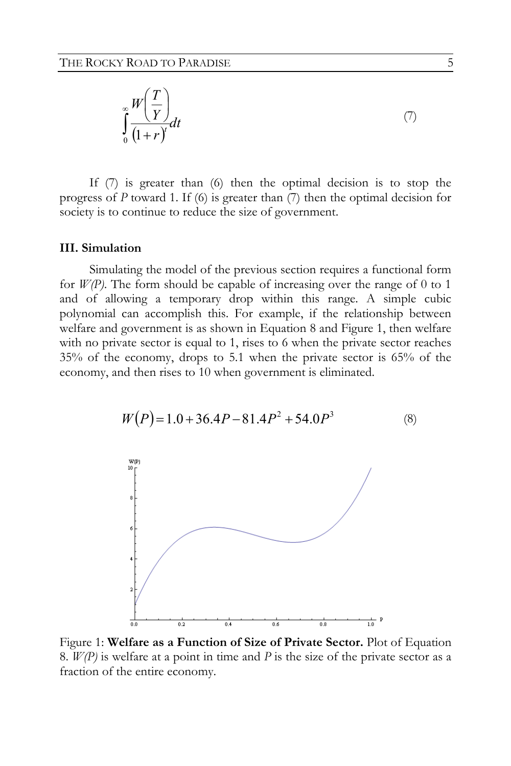$$
\int_{0}^{\infty} \frac{W\left(\frac{T}{Y}\right)}{\left(1+r\right)^{t}} dt
$$
\n<sup>(7)</sup>

If (7) is greater than (6) then the optimal decision is to stop the progress of *P* toward 1. If (6) is greater than (7) then the optimal decision for society is to continue to reduce the size of government.

#### **III. Simulation**

Simulating the model of the previous section requires a functional form for  $W(P)$ . The form should be capable of increasing over the range of 0 to 1 and of allowing a temporary drop within this range. A simple cubic polynomial can accomplish this. For example, if the relationship between welfare and government is as shown in Equation 8 and Figure 1, then welfare with no private sector is equal to 1, rises to 6 when the private sector reaches 35% of the economy, drops to 5.1 when the private sector is 65% of the economy, and then rises to 10 when government is eliminated.



$$
W(P) = 1.0 + 36.4P - 81.4P^2 + 54.0P^3
$$
 (8)

Figure 1: **Welfare as a Function of Size of Private Sector.** Plot of Equation 8. *W(P)* is welfare at a point in time and *P* is the size of the private sector as a fraction of the entire economy.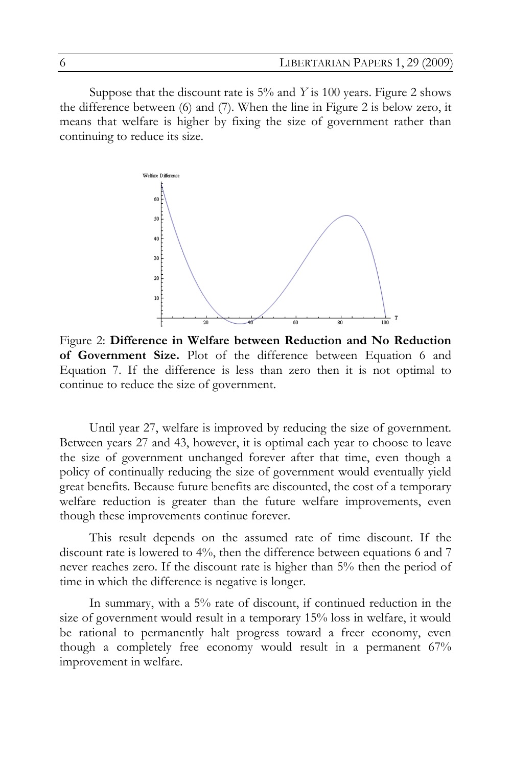Suppose that the discount rate is 5% and *Y* is 100 years. Figure 2 shows the difference between (6) and (7). When the line in Figure 2 is below zero, it means that welfare is higher by fixing the size of government rather than continuing to reduce its size.



Figure 2: **Difference in Welfare between Reduction and No Reduction of Government Size.** Plot of the difference between Equation 6 and Equation 7. If the difference is less than zero then it is not optimal to continue to reduce the size of government.

Until year 27, welfare is improved by reducing the size of government. Between years 27 and 43, however, it is optimal each year to choose to leave the size of government unchanged forever after that time, even though a policy of continually reducing the size of government would eventually yield great benefits. Because future benefits are discounted, the cost of a temporary welfare reduction is greater than the future welfare improvements, even though these improvements continue forever.

This result depends on the assumed rate of time discount. If the discount rate is lowered to 4%, then the difference between equations 6 and 7 never reaches zero. If the discount rate is higher than 5% then the period of time in which the difference is negative is longer.

In summary, with a 5% rate of discount, if continued reduction in the size of government would result in a temporary 15% loss in welfare, it would be rational to permanently halt progress toward a freer economy, even though a completely free economy would result in a permanent 67% improvement in welfare.